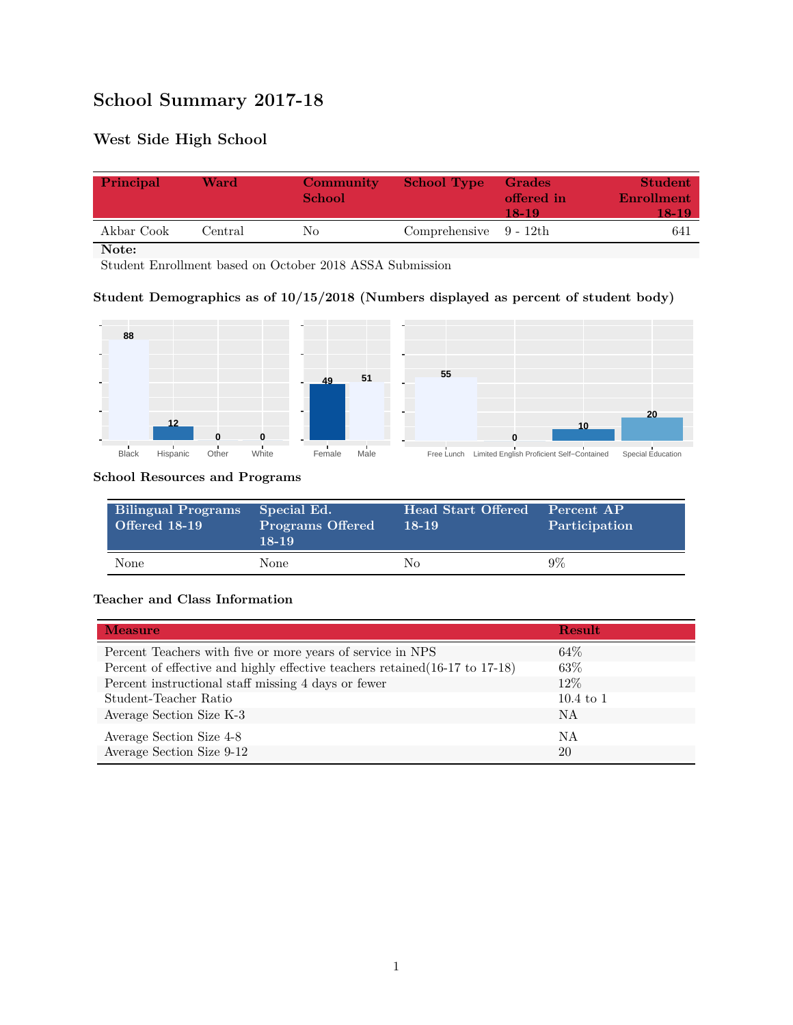# **School Summary 2017-18**

## **West Side High School**

| Principal  | Ward    | Community<br><b>School</b> | <b>School Type</b>        | Grades<br>offered in<br>18-19 | <b>Student</b><br>Enrollment<br>18-19 |
|------------|---------|----------------------------|---------------------------|-------------------------------|---------------------------------------|
| Akbar Cook | Central | Nο                         | Comprehensive $9 - 12$ th |                               | 641                                   |

**Note:**

Student Enrollment based on October 2018 ASSA Submission

### **Student Demographics as of 10/15/2018 (Numbers displayed as percent of student body)**



#### **School Resources and Programs**

| Bilingual Programs<br>Offered 18-19 | Special Ed.<br><b>Programs Offered</b><br>$18-19$ | <b>Head Start Offered</b><br>$18-19$ | Percent AP<br>Participation |
|-------------------------------------|---------------------------------------------------|--------------------------------------|-----------------------------|
| None                                | None                                              | Nο                                   | $9\%$                       |

#### **Teacher and Class Information**

| <b>Measure</b>                                                               | <b>Result</b>        |
|------------------------------------------------------------------------------|----------------------|
| Percent Teachers with five or more years of service in NPS                   | 64\%                 |
| Percent of effective and highly effective teachers retained (16-17 to 17-18) | 63\%                 |
| Percent instructional staff missing 4 days or fewer                          | 12\%                 |
| Student-Teacher Ratio                                                        | $10.4 \text{ to } 1$ |
| Average Section Size K-3                                                     | NA                   |
| Average Section Size 4-8                                                     | ΝA                   |
| Average Section Size 9-12                                                    | 20                   |